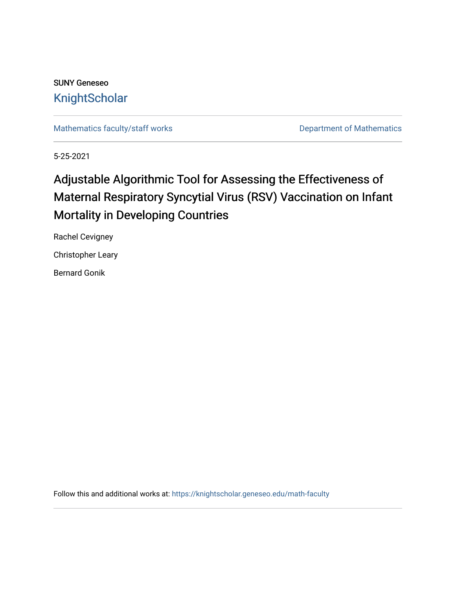### SUNY Geneseo [KnightScholar](https://knightscholar.geneseo.edu/)

[Mathematics faculty/staff works](https://knightscholar.geneseo.edu/math-faculty) **Department of Mathematics** 

5-25-2021

# Adjustable Algorithmic Tool for Assessing the Effectiveness of Maternal Respiratory Syncytial Virus (RSV) Vaccination on Infant Mortality in Developing Countries

Rachel Cevigney

Christopher Leary

Bernard Gonik

Follow this and additional works at: [https://knightscholar.geneseo.edu/math-faculty](https://knightscholar.geneseo.edu/math-faculty?utm_source=knightscholar.geneseo.edu%2Fmath-faculty%2F2&utm_medium=PDF&utm_campaign=PDFCoverPages)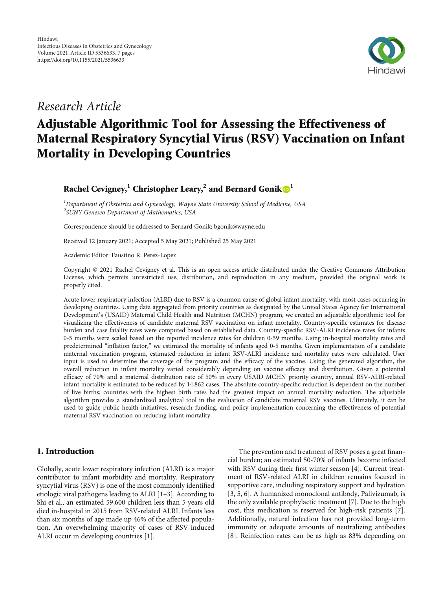

### Research Article

## Adjustable Algorithmic Tool for Assessing the Effectiveness of Maternal Respiratory Syncytial Virus (RSV) Vaccination on Infant Mortality in Developing Countries

### Rachel Cevigney,**<sup>1</sup>** Christopher Leary,**<sup>2</sup>** and Bernard Gonik **[1](https://orcid.org/0000-0002-6464-7079)**

<sup>1</sup>Department of Obstetrics and Gynecology, Wayne State University School of Medicine, USA <sup>2</sup>SUNY Geneseo Department of Mathematics, USA

Correspondence should be addressed to Bernard Gonik; bgonik@wayne.edu

Received 12 January 2021; Accepted 5 May 2021; Published 25 May 2021

Academic Editor: Faustino R. Perez-Lopez

Copyright © 2021 Rachel Cevigney et al. This is an open access article distributed under the [Creative Commons Attribution](https://creativecommons.org/licenses/by/4.0/) [License,](https://creativecommons.org/licenses/by/4.0/) which permits unrestricted use, distribution, and reproduction in any medium, provided the original work is properly cited.

Acute lower respiratory infection (ALRI) due to RSV is a common cause of global infant mortality, with most cases occurring in developing countries. Using data aggregated from priority countries as designated by the United States Agency for International Development's (USAID) Maternal Child Health and Nutrition (MCHN) program, we created an adjustable algorithmic tool for visualizing the effectiveness of candidate maternal RSV vaccination on infant mortality. Country-specific estimates for disease burden and case fatality rates were computed based on established data. Country-specific RSV-ALRI incidence rates for infants 0-5 months were scaled based on the reported incidence rates for children 0-59 months. Using in-hospital mortality rates and predetermined "inflation factor," we estimated the mortality of infants aged 0-5 months. Given implementation of a candidate maternal vaccination program, estimated reduction in infant RSV-ALRI incidence and mortality rates were calculated. User input is used to determine the coverage of the program and the efficacy of the vaccine. Using the generated algorithm, the overall reduction in infant mortality varied considerably depending on vaccine efficacy and distribution. Given a potential efficacy of 70% and a maternal distribution rate of 50% in every USAID MCHN priority country, annual RSV-ALRI-related infant mortality is estimated to be reduced by 14,862 cases. The absolute country-specific reduction is dependent on the number of live births; countries with the highest birth rates had the greatest impact on annual mortality reduction. The adjustable algorithm provides a standardized analytical tool in the evaluation of candidate maternal RSV vaccines. Ultimately, it can be used to guide public health initiatives, research funding, and policy implementation concerning the effectiveness of potential maternal RSV vaccination on reducing infant mortality.

#### 1. Introduction

Globally, acute lower respiratory infection (ALRI) is a major contributor to infant morbidity and mortality. Respiratory syncytial virus (RSV) is one of the most commonly identified etiologic viral pathogens leading to ALRI [[1](#page-7-0)–[3](#page-7-0)]. According to Shi et al., an estimated 59,600 children less than 5 years old died in-hospital in 2015 from RSV-related ALRI. Infants less than six months of age made up 46% of the affected population. An overwhelming majority of cases of RSV-induced ALRI occur in developing countries [\[1](#page-7-0)].

The prevention and treatment of RSV poses a great financial burden; an estimated 50-70% of infants become infected with RSV during their first winter season [[4](#page-7-0)]. Current treatment of RSV-related ALRI in children remains focused in supportive care, including respiratory support and hydration [\[3](#page-7-0), [5, 6\]](#page-7-0). A humanized monoclonal antibody, Palivizumab, is the only available prophylactic treatment [\[7](#page-7-0)]. Due to the high cost, this medication is reserved for high-risk patients [[7](#page-7-0)]. Additionally, natural infection has not provided long-term immunity or adequate amounts of neutralizing antibodies [\[8](#page-7-0)]. Reinfection rates can be as high as 83% depending on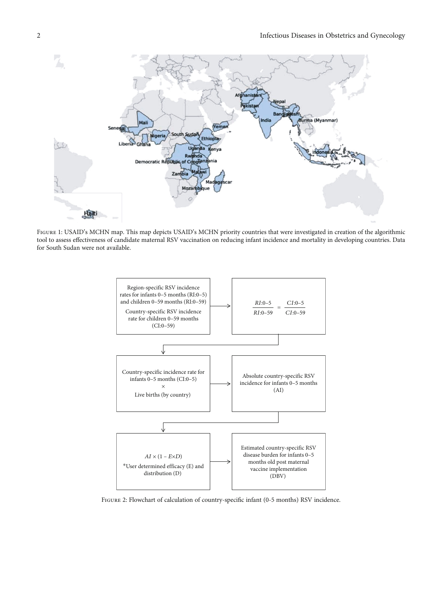<span id="page-2-0"></span>

Figure 1: USAID's MCHN map. This map depicts USAID's MCHN priority countries that were investigated in creation of the algorithmic tool to assess effectiveness of candidate maternal RSV vaccination on reducing infant incidence and mortality in developing countries. Data for South Sudan were not available.



Figure 2: Flowchart of calculation of country-specific infant (0-5 months) RSV incidence.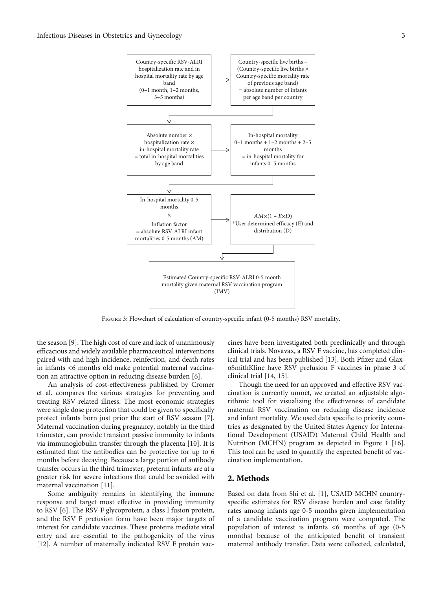<span id="page-3-0"></span>

Figure 3: Flowchart of calculation of country-specific infant (0-5 months) RSV mortality.

the season [[9](#page-7-0)]. The high cost of care and lack of unanimously efficacious and widely available pharmaceutical interventions paired with and high incidence, reinfection, and death rates in infants <6 months old make potential maternal vaccination an attractive option in reducing disease burden [[6\]](#page-7-0).

An analysis of cost-effectiveness published by Cromer et al. compares the various strategies for preventing and treating RSV-related illness. The most economic strategies were single dose protection that could be given to specifically protect infants born just prior the start of RSV season [[7](#page-7-0)]. Maternal vaccination during pregnancy, notably in the third trimester, can provide transient passive immunity to infants via immunoglobulin transfer through the placenta [[10](#page-7-0)]. It is estimated that the antibodies can be protective for up to 6 months before decaying. Because a large portion of antibody transfer occurs in the third trimester, preterm infants are at a greater risk for severe infections that could be avoided with maternal vaccination [\[11\]](#page-7-0).

Some ambiguity remains in identifying the immune response and target most effective in providing immunity to RSV [\[6](#page-7-0)]. The RSV F glycoprotein, a class I fusion protein, and the RSV F prefusion form have been major targets of interest for candidate vaccines. These proteins mediate viral entry and are essential to the pathogenicity of the virus [\[12](#page-7-0)]. A number of maternally indicated RSV F protein vaccines have been investigated both preclinically and through clinical trials. Novavax, a RSV F vaccine, has completed clinical trial and has been published [[13](#page-7-0)]. Both Pfizer and GlaxoSmithKline have RSV prefusion F vaccines in phase 3 of clinical trial [\[14, 15](#page-7-0)].

Though the need for an approved and effective RSV vaccination is currently unmet, we created an adjustable algorithmic tool for visualizing the effectiveness of candidate maternal RSV vaccination on reducing disease incidence and infant mortality. We used data specific to priority countries as designated by the United States Agency for International Development (USAID) Maternal Child Health and Nutrition (MCHN) program as depicted in Figure [1](#page-2-0) [[16](#page-7-0)]. This tool can be used to quantify the expected benefit of vaccination implementation.

#### 2. Methods

Based on data from Shi et al. [[1\]](#page-7-0), USAID MCHN countryspecific estimates for RSV disease burden and case fatality rates among infants age 0-5 months given implementation of a candidate vaccination program were computed. The population of interest is infants <6 months of age (0-5 months) because of the anticipated benefit of transient maternal antibody transfer. Data were collected, calculated,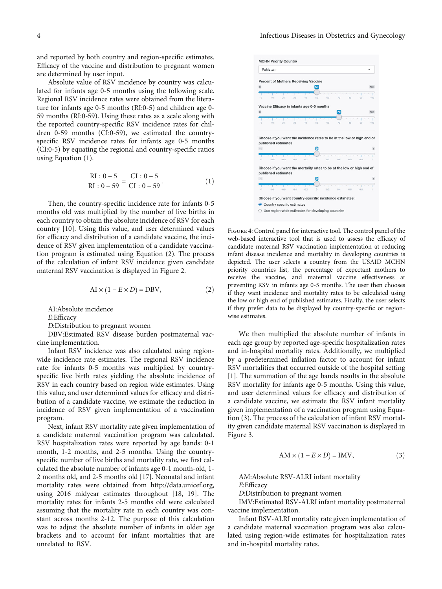<span id="page-4-0"></span>and reported by both country and region-specific estimates. Efficacy of the vaccine and distribution to pregnant women are determined by user input.

Absolute value of RSV incidence by country was calculated for infants age 0-5 months using the following scale. Regional RSV incidence rates were obtained from the literature for infants age 0-5 months (RI:0-5) and children age 0- 59 months (RI:0-59). Using these rates as a scale along with the reported country-specific RSV incidence rates for children 0-59 months (CI:0-59), we estimated the countryspecific RSV incidence rates for infants age 0-5 months (CI:0-5) by equating the regional and country-specific ratios using Equation (1).

$$
\frac{RI: 0-5}{RI: 0-59} = \frac{CI: 0-5}{CI: 0-59}.
$$
 (1)

Then, the country-specific incidence rate for infants 0-5 months old was multiplied by the number of live births in each country to obtain the absolute incidence of RSV for each country [\[10\]](#page-7-0). Using this value, and user determined values for efficacy and distribution of a candidate vaccine, the incidence of RSV given implementation of a candidate vaccination program is estimated using Equation (2). The process of the calculation of infant RSV incidence given candidate maternal RSV vaccination is displayed in Figure [2](#page-2-0).

$$
AI \times (1 - E \times D) = DBV, \tag{2}
$$

AI:Absolute incidence

*E*:Efficacy

*D*:Distribution to pregnant women

DBV:Estimated RSV disease burden postmaternal vaccine implementation.

Infant RSV incidence was also calculated using regionwide incidence rate estimates. The regional RSV incidence rate for infants 0-5 months was multiplied by countryspecific live birth rates yielding the absolute incidence of RSV in each country based on region wide estimates. Using this value, and user determined values for efficacy and distribution of a candidate vaccine, we estimate the reduction in incidence of RSV given implementation of a vaccination program.

Next, infant RSV mortality rate given implementation of a candidate maternal vaccination program was calculated. RSV hospitalization rates were reported by age bands: 0-1 month, 1-2 months, and 2-5 months. Using the countryspecific number of live births and mortality rate, we first calculated the absolute number of infants age 0-1 month-old, 1- 2 months old, and 2-5 months old [\[17\]](#page-7-0). Neonatal and infant mortality rates were obtained from [http://data.unicef.org,](http://data.unicef.org) using 2016 midyear estimates throughout [\[18, 19](#page-7-0)]. The mortality rates for infants 2-5 months old were calculated assuming that the mortality rate in each country was constant across months 2-12. The purpose of this calculation was to adjust the absolute number of infants in older age brackets and to account for infant mortalities that are unrelated to RSV.



FIGURE 4: Control panel for interactive tool. The control panel of the web-based interactive tool that is used to assess the efficacy of candidate maternal RSV vaccination implementation at reducing infant disease incidence and mortality in developing countries is depicted. The user selects a country from the USAID MCHN priority countries list, the percentage of expectant mothers to receive the vaccine, and maternal vaccine effectiveness at preventing RSV in infants age 0-5 months. The user then chooses if they want incidence and mortality rates to be calculated using the low or high end of published estimates. Finally, the user selects if they prefer data to be displayed by country-specific or regionwise estimates.

We then multiplied the absolute number of infants in each age group by reported age-specific hospitalization rates and in-hospital mortality rates. Additionally, we multiplied by a predetermined inflation factor to account for infant RSV mortalities that occurred outside of the hospital setting [\[1](#page-7-0)]. The summation of the age bands results in the absolute RSV mortality for infants age 0-5 months. Using this value, and user determined values for efficacy and distribution of a candidate vaccine, we estimate the RSV infant mortality given implementation of a vaccination program using Equation (3). The process of the calculation of infant RSV mortality given candidate maternal RSV vaccination is displayed in Figure [3.](#page-3-0)

$$
AM \times (1 - E \times D) = IMV,
$$
 (3)

AM:Absolute RSV-ALRI infant mortality *E*:Efficacy

*D*:Distribution to pregnant women

IMV:Estimated RSV-ALRI infant mortality postmaternal vaccine implementation.

Infant RSV-ALRI mortality rate given implementation of a candidate maternal vaccination program was also calculated using region-wide estimates for hospitalization rates and in-hospital mortality rates.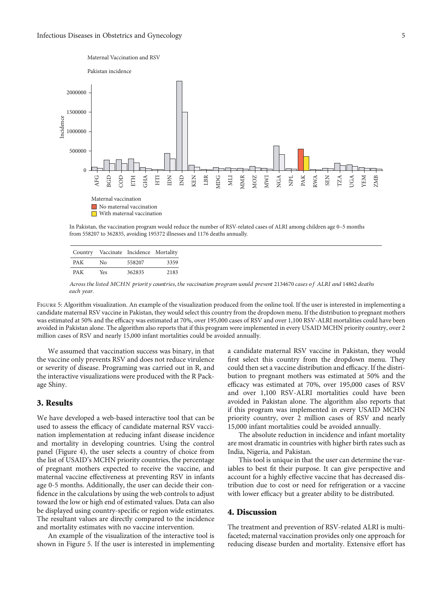

In Pakistan, the vaccination program would reduce the number of RSV-related cases of ALRI among children age 0–5 months from 558207 to 362835, avoiding 195372 illnesses and 1176 deaths annually.

|     | Country Vaccinate Incidence Mortality |        |      |
|-----|---------------------------------------|--------|------|
| PAK | No.                                   | 558207 | 3359 |
| PAK | Yes                                   | 362835 | 2183 |

Across the listed MCHN priority countries, the vaccination program would prevent 2134670 cases of ALRI and 14862 deaths each year.

FIGURE 5: Algorithm visualization. An example of the visualization produced from the online tool. If the user is interested in implementing a candidate maternal RSV vaccine in Pakistan, they would select this country from the dropdown menu. If the distribution to pregnant mothers was estimated at 50% and the efficacy was estimated at 70%, over 195,000 cases of RSV and over 1,100 RSV-ALRI mortalities could have been avoided in Pakistan alone. The algorithm also reports that if this program were implemented in every USAID MCHN priority country, over 2 million cases of RSV and nearly 15,000 infant mortalities could be avoided annually.

We assumed that vaccination success was binary, in that the vaccine only prevents RSV and does not reduce virulence or severity of disease. Programing was carried out in R, and the interactive visualizations were produced with the R Package Shiny.

#### 3. Results

We have developed a web-based interactive tool that can be used to assess the efficacy of candidate maternal RSV vaccination implementation at reducing infant disease incidence and mortality in developing countries. Using the control panel (Figure [4\)](#page-4-0), the user selects a country of choice from the list of USAID's MCHN priority countries, the percentage of pregnant mothers expected to receive the vaccine, and maternal vaccine effectiveness at preventing RSV in infants age 0-5 months. Additionally, the user can decide their confidence in the calculations by using the web controls to adjust toward the low or high end of estimated values. Data can also be displayed using country-specific or region wide estimates. The resultant values are directly compared to the incidence and mortality estimates with no vaccine intervention.

An example of the visualization of the interactive tool is shown in Figure 5. If the user is interested in implementing

a candidate maternal RSV vaccine in Pakistan, they would first select this country from the dropdown menu. They could then set a vaccine distribution and efficacy. If the distribution to pregnant mothers was estimated at 50% and the efficacy was estimated at 70%, over 195,000 cases of RSV and over 1,100 RSV-ALRI mortalities could have been avoided in Pakistan alone. The algorithm also reports that if this program was implemented in every USAID MCHN priority country, over 2 million cases of RSV and nearly 15,000 infant mortalities could be avoided annually.

The absolute reduction in incidence and infant mortality are most dramatic in countries with higher birth rates such as India, Nigeria, and Pakistan.

This tool is unique in that the user can determine the variables to best fit their purpose. It can give perspective and account for a highly effective vaccine that has decreased distribution due to cost or need for refrigeration or a vaccine with lower efficacy but a greater ability to be distributed.

#### 4. Discussion

The treatment and prevention of RSV-related ALRI is multifaceted; maternal vaccination provides only one approach for reducing disease burden and mortality. Extensive effort has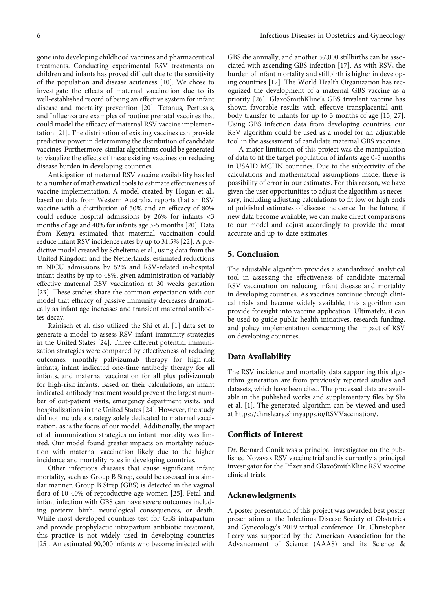gone into developing childhood vaccines and pharmaceutical treatments. Conducting experimental RSV treatments on children and infants has proved difficult due to the sensitivity of the population and disease acuteness [\[10](#page-7-0)]. We chose to investigate the effects of maternal vaccination due to its well-established record of being an effective system for infant disease and mortality prevention [[20](#page-7-0)]. Tetanus, Pertussis, and Influenza are examples of routine prenatal vaccines that could model the efficacy of maternal RSV vaccine implementation [\[21\]](#page-7-0). The distribution of existing vaccines can provide predictive power in determining the distribution of candidate vaccines. Furthermore, similar algorithms could be generated to visualize the effects of these existing vaccines on reducing disease burden in developing countries.

Anticipation of maternal RSV vaccine availability has led to a number of mathematical tools to estimate effectiveness of vaccine implementation. A model created by Hogan et al., based on data from Western Australia, reports that an RSV vaccine with a distribution of 50% and an efficacy of 80% could reduce hospital admissions by 26% for infants <3 months of age and 40% for infants age 3-5 months [[20](#page-7-0)]. Data from Kenya estimated that maternal vaccination could reduce infant RSV incidence rates by up to 31.5% [\[22\]](#page-7-0). A predictive model created by Scheltema et al., using data from the United Kingdom and the Netherlands, estimated reductions in NICU admissions by 62% and RSV-related in-hospital infant deaths by up to 48%, given administration of variably effective maternal RSV vaccination at 30 weeks gestation [\[23](#page-7-0)]. These studies share the common expectation with our model that efficacy of passive immunity decreases dramatically as infant age increases and transient maternal antibodies decay.

Rainisch et al. also utilized the Shi et al. [[1](#page-7-0)] data set to generate a model to assess RSV infant immunity strategies in the United States [\[24\]](#page-7-0). Three different potential immunization strategies were compared by effectiveness of reducing outcomes: monthly palivizumab therapy for high-risk infants, infant indicated one-time antibody therapy for all infants, and maternal vaccination for all plus palivizumab for high-risk infants. Based on their calculations, an infant indicated antibody treatment would prevent the largest number of out-patient visits, emergency department visits, and hospitalizations in the United States [\[24\]](#page-7-0). However, the study did not include a strategy solely dedicated to maternal vaccination, as is the focus of our model. Additionally, the impact of all immunization strategies on infant mortality was limited. Our model found greater impacts on mortality reduction with maternal vaccination likely due to the higher incidence and mortality rates in developing countries.

Other infectious diseases that cause significant infant mortality, such as Group B Strep, could be assessed in a similar manner. Group B Strep (GBS) is detected in the vaginal flora of 10-40% of reproductive age women [[25](#page-7-0)]. Fetal and infant infection with GBS can have severe outcomes including preterm birth, neurological consequences, or death. While most developed countries test for GBS intrapartum and provide prophylactic intrapartum antibiotic treatment, this practice is not widely used in developing countries [\[25](#page-7-0)]. An estimated 90,000 infants who become infected with

GBS die annually, and another 57,000 stillbirths can be associated with ascending GBS infection [[17](#page-7-0)]. As with RSV, the burden of infant mortality and stillbirth is higher in developing countries [[17](#page-7-0)]. The World Health Organization has recognized the development of a maternal GBS vaccine as a priority [[26](#page-7-0)]. GlaxoSmithKline's GBS trivalent vaccine has shown favorable results with effective transplacental antibody transfer to infants for up to 3 months of age [[15](#page-7-0), [27](#page-7-0)]. Using GBS infection data from developing countries, our RSV algorithm could be used as a model for an adjustable tool in the assessment of candidate maternal GBS vaccines.

A major limitation of this project was the manipulation of data to fit the target population of infants age 0-5 months in USAID MCHN countries. Due to the subjectivity of the calculations and mathematical assumptions made, there is possibility of error in our estimates. For this reason, we have given the user opportunities to adjust the algorithm as necessary, including adjusting calculations to fit low or high ends of published estimates of disease incidence. In the future, if new data become available, we can make direct comparisons to our model and adjust accordingly to provide the most accurate and up-to-date estimates.

#### 5. Conclusion

The adjustable algorithm provides a standardized analytical tool in assessing the effectiveness of candidate maternal RSV vaccination on reducing infant disease and mortality in developing countries. As vaccines continue through clinical trials and become widely available, this algorithm can provide foresight into vaccine application. Ultimately, it can be used to guide public health initiatives, research funding, and policy implementation concerning the impact of RSV on developing countries.

#### Data Availability

The RSV incidence and mortality data supporting this algorithm generation are from previously reported studies and datasets, which have been cited. The processed data are available in the published works and supplementary files by Shi et al. [\[1](#page-7-0)]. The generated algorithm can be viewed and used at<https://chrisleary.shinyapps.io/RSVVaccination/>.

#### Conflicts of Interest

Dr. Bernard Gonik was a principal investigator on the published Novavax RSV vaccine trial and is currently a principal investigator for the Pfizer and GlaxoSmithKline RSV vaccine clinical trials.

#### Acknowledgments

A poster presentation of this project was awarded best poster presentation at the Infectious Disease Society of Obstetrics and Gynecology's 2019 virtual conference. Dr. Christopher Leary was supported by the American Association for the Advancement of Science (AAAS) and its Science &